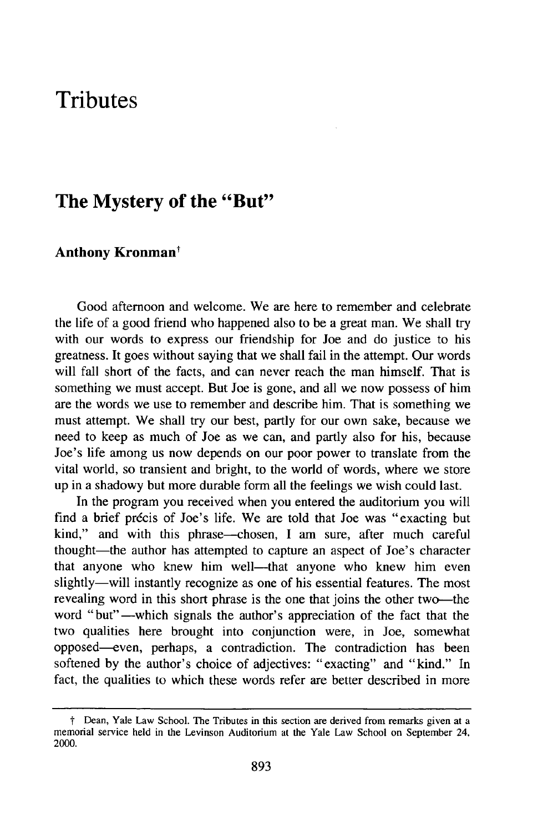## **Tributes**

## **The Mystery of the "But"**

## **Anthony Kronman'**

Good afternoon and welcome. We are here to remember and celebrate the life of a good friend who happened also to be a great man. We shall try with our words to express our friendship for Joe and do justice to his greatness. It goes without saying that we shall fail in the attempt. Our words will fall short of the facts, and can never reach the man himself. That is something we must accept. But Joe is gone, and all we now possess of him are the words we use to remember and describe him. That is something we must attempt. We shall try our best, partly for our own sake, because we need to keep as much of Joe as we can, and partly also for his, because Joe's life among us now depends on our poor power to translate from the vital world, so transient and bright, to the world of words, where we store up in a shadowy but more durable form all the feelings we wish could last.

In the program you received when you entered the auditorium you will find a brief précis of Joe's life. We are told that Joe was "exacting but kind," and with this phrase-chosen, I am sure, after much careful thought-the author has attempted to capture an aspect of Joe's character that anyone who knew him well—that anyone who knew him even slightly—will instantly recognize as one of his essential features. The most revealing word in this short phrase is the one that joins the other two—the word "but"—which signals the author's appreciation of the fact that the two qualities here brought into conjunction were, in Joe, somewhat opposed-even, perhaps, a contradiction. The contradiction has been softened by the author's choice of adjectives: "exacting" and "kind." In fact, the qualities to which these words refer are better described in more

t Dean, Yale Law School. The Tributes in this section are derived from remarks given at a memorial service held in the Levinson Auditorium at the Yale Law School on September 24, 2000.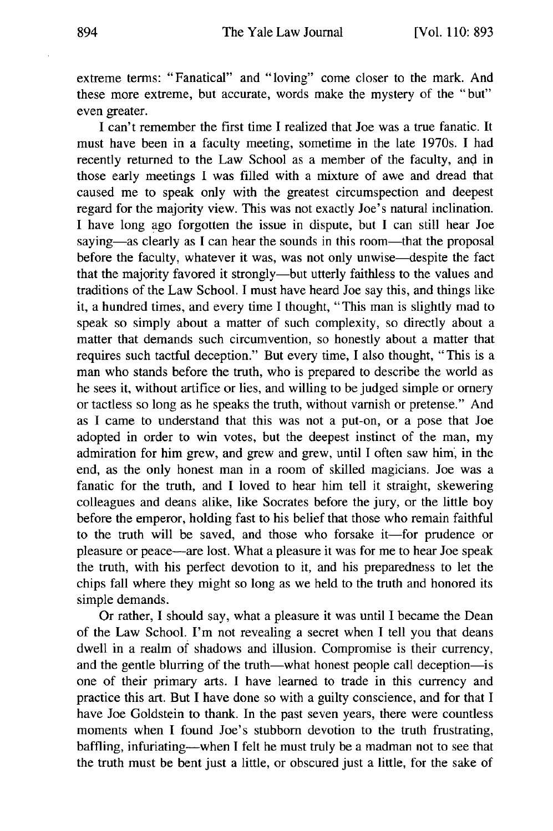extreme terms: "Fanatical" and "loving" come closer to the mark. And these more extreme, but accurate, words make the mystery of the "but" even greater.

I can't remember the first time I realized that Joe was a true fanatic. It must have been in a faculty meeting, sometime in the late 1970s. I had recently returned to the Law School as a member of the faculty, and in those early meetings I was filled with a mixture of awe and dread that caused me to speak only with the greatest circumspection and deepest regard for the majority view. This was not exactly Joe's natural inclination. I have long ago forgotten the issue in dispute, but I can still hear Joe saying—as clearly as I can hear the sounds in this room—that the proposal before the faculty, whatever it was, was not only unwise—despite the fact that the majority favored it strongly-but utterly faithless to the values and traditions of the Law School. I must have heard Joe say this, and things like it, a hundred times, and every time I thought, "This man is slightly mad to speak so simply about a matter of such complexity, so directly about a matter that demands such circumvention, so honestly about a matter that requires such tactful deception." But every time, I also thought, "This is a man who stands before the truth, who is prepared to describe the world as he sees it, without artifice or lies, and willing to be judged simple or ornery or tactless so long as he speaks the truth, without varnish or pretense." And as I came to understand that this was not a put-on, or a pose that Joe adopted in order to win votes, but the deepest instinct of the man, my admiration for him grew, and grew and grew, until I often saw him, in the end, as the only honest man in a room of skilled magicians. Joe was a fanatic for the truth, and I loved to hear him tell it straight, skewering colleagues and deans alike, like Socrates before the jury, or the little boy before the emperor, holding fast to his belief that those who remain faithful to the truth will be saved, and those who forsake it-for prudence or pleasure or peace-are lost. What a pleasure it was for me to hear Joe speak the truth, with his perfect devotion to it, and his preparedness to let the chips fall where they might so long as we held to the truth and honored its simple demands.

Or rather, I should say, what a pleasure it was until I became the Dean of the Law School. I'm not revealing a secret when I tell you that deans dwell in a realm of shadows and illusion. Compromise is their currency, and the gentle blurring of the truth-what honest people call deception-is one of their primary arts. I have learned to trade in this currency and practice this art. But I have done so with a guilty conscience, and for that I have Joe Goldstein to thank. In the past seven years, there were countless moments when I found Joe's stubborn devotion to the truth frustrating, baffling, infuriating-when I felt he must truly be a madman not to see that the truth must be bent just a little, or obscured just a little, for the sake of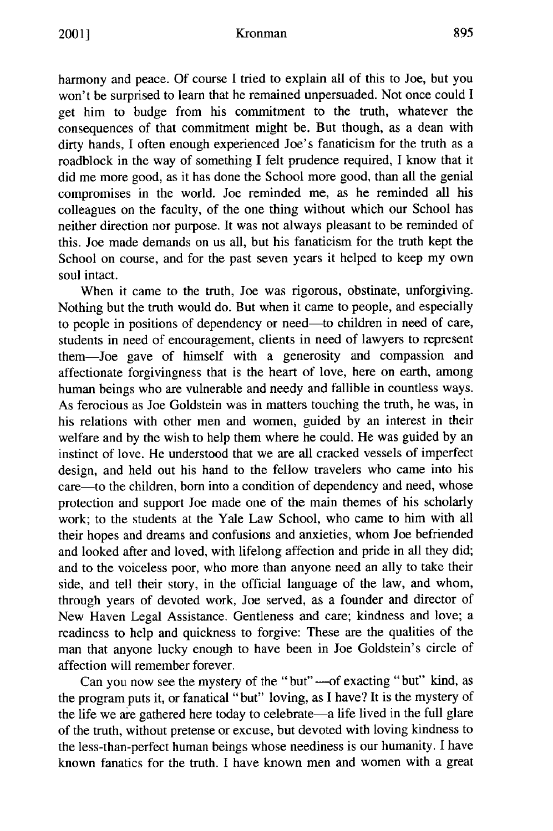harmony and peace. Of course I tried to explain all of this to Joe, but you won't be surprised to learn that he remained unpersuaded. Not once could I get him to budge from his commitment to the truth, whatever the consequences of that commitment might be. But though, as a dean with dirty hands, I often enough experienced Joe's fanaticism for the truth as a roadblock in the way of something I felt prudence required, I know that it did me more good, as it has done the School more good, than all the genial compromises in the world. Joe reminded me, as he reminded all his colleagues on the faculty, of the one thing without which our School has neither direction nor purpose. It was not always pleasant to be reminded of this. Joe made demands on us all, but his fanaticism for the truth kept the School on course, and for the past seven years it helped to keep my own soul intact.

When it came to the truth, Joe was rigorous, obstinate, unforgiving. Nothing but the truth would do. But when it came to people, and especially to people in positions of dependency or need-to children in need of care, students in need of encouragement, clients in need of lawyers to represent them-Joe gave of himself with a generosity and compassion and affectionate forgivingness that is the heart of love, here on earth, among human beings who are vulnerable and needy and fallible in countless ways. As ferocious as Joe Goldstein was in matters touching the truth, he was, in his relations with other men and women, guided by an interest in their welfare and by the wish to help them where he could. He was guided by an instinct of love. He understood that we are all cracked vessels of imperfect design, and held out his hand to the fellow travelers who came into his care—to the children, born into a condition of dependency and need, whose protection and support Joe made one of the main themes of his scholarly work; to the students at the Yale Law School, who came to him with all their hopes and dreams and confusions and anxieties, whom Joe befriended and looked after and loved, with lifelong affection and pride in all they did; and to the voiceless poor, who more than anyone need an ally to take their side, and tell their story, in the official language of the law, and whom, through years of devoted work, Joe served, as a founder and director of New Haven Legal Assistance. Gentleness and care; kindness and love; a readiness to help and quickness to forgive: These are the qualities of the man that anyone lucky enough to have been in Joe Goldstein's circle of affection will remember forever.

Can you now see the mystery of the "but" -- of exacting "but" kind, as the program puts it, or fanatical "but" loving, as I have? It is the mystery of the life we are gathered here today to celebrate-a life lived in the full glare of the truth, without pretense or excuse, but devoted with loving kindness to the less-than-perfect human beings whose neediness is our humanity. I have known fanatics for the truth. I have known men and women with a great